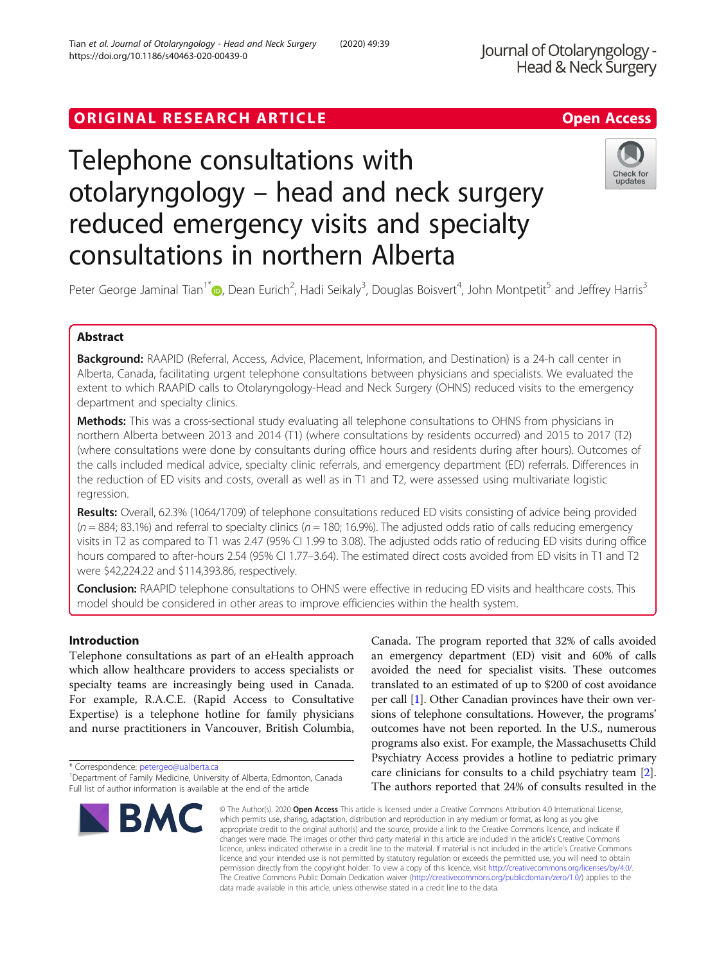# ORIGINAL RESEARCH ARTICLE **Solution Contract Contract Contract Contract Contract Contract Contract Contract Contract Contract Contract Contract Contract Contract Contract Contract Contract Contract Contract Contract Contra**

# Telephone consultations with otolaryngology – head and neck surgery reduced emergency visits and specialty consultations in northern Alberta



Peter George Jaminal Tian<sup>1\*</sup> D, Dean Eurich<sup>2</sup>, Hadi Seikaly<sup>3</sup>, Douglas Boisvert<sup>4</sup>, John Montpetit<sup>5</sup> and Jeffrey Harris<sup>3</sup>

# Abstract

Background: RAAPID (Referral, Access, Advice, Placement, Information, and Destination) is a 24-h call center in Alberta, Canada, facilitating urgent telephone consultations between physicians and specialists. We evaluated the extent to which RAAPID calls to Otolaryngology-Head and Neck Surgery (OHNS) reduced visits to the emergency department and specialty clinics.

Methods: This was a cross-sectional study evaluating all telephone consultations to OHNS from physicians in northern Alberta between 2013 and 2014 (T1) (where consultations by residents occurred) and 2015 to 2017 (T2) (where consultations were done by consultants during office hours and residents during after hours). Outcomes of the calls included medical advice, specialty clinic referrals, and emergency department (ED) referrals. Differences in the reduction of ED visits and costs, overall as well as in T1 and T2, were assessed using multivariate logistic regression.

Results: Overall, 62.3% (1064/1709) of telephone consultations reduced ED visits consisting of advice being provided  $(n = 884; 83.1%)$  and referral to specialty clinics  $(n = 180; 16.9%)$ . The adjusted odds ratio of calls reducing emergency visits in T2 as compared to T1 was 2.47 (95% CI 1.99 to 3.08). The adjusted odds ratio of reducing ED visits during office hours compared to after-hours 2.54 (95% CI 1.77–3.64). The estimated direct costs avoided from ED visits in T1 and T2 were \$42,224.22 and \$114,393.86, respectively.

**Conclusion:** RAAPID telephone consultations to OHNS were effective in reducing ED visits and healthcare costs. This model should be considered in other areas to improve efficiencies within the health system.

# Introduction

Telephone consultations as part of an eHealth approach which allow healthcare providers to access specialists or specialty teams are increasingly being used in Canada. For example, R.A.C.E. (Rapid Access to Consultative Expertise) is a telephone hotline for family physicians and nurse practitioners in Vancouver, British Columbia,

\* Correspondence: [petergeo@ualberta.ca](mailto:petergeo@ualberta.ca) <sup>1</sup>

<sup>&</sup>lt;sup>1</sup>Department of Family Medicine, University of Alberta, Edmonton, Canada Full list of author information is available at the end of the article



Canada. The program reported that 32% of calls avoided an emergency department (ED) visit and 60% of calls avoided the need for specialist visits. These outcomes translated to an estimated of up to \$200 of cost avoidance per call [[1\]](#page-7-0). Other Canadian provinces have their own versions of telephone consultations. However, the programs' outcomes have not been reported. In the U.S., numerous programs also exist. For example, the Massachusetts Child Psychiatry Access provides a hotline to pediatric primary care clinicians for consults to a child psychiatry team [[2](#page-7-0)]. The authors reported that 24% of consults resulted in the

© The Author(s), 2020 **Open Access** This article is licensed under a Creative Commons Attribution 4.0 International License, which permits use, sharing, adaptation, distribution and reproduction in any medium or format, as long as you give appropriate credit to the original author(s) and the source, provide a link to the Creative Commons licence, and indicate if changes were made. The images or other third party material in this article are included in the article's Creative Commons licence, unless indicated otherwise in a credit line to the material. If material is not included in the article's Creative Commons licence and your intended use is not permitted by statutory regulation or exceeds the permitted use, you will need to obtain permission directly from the copyright holder. To view a copy of this licence, visit [http://creativecommons.org/licenses/by/4.0/.](http://creativecommons.org/licenses/by/4.0/) The Creative Commons Public Domain Dedication waiver [\(http://creativecommons.org/publicdomain/zero/1.0/](http://creativecommons.org/publicdomain/zero/1.0/)) applies to the data made available in this article, unless otherwise stated in a credit line to the data.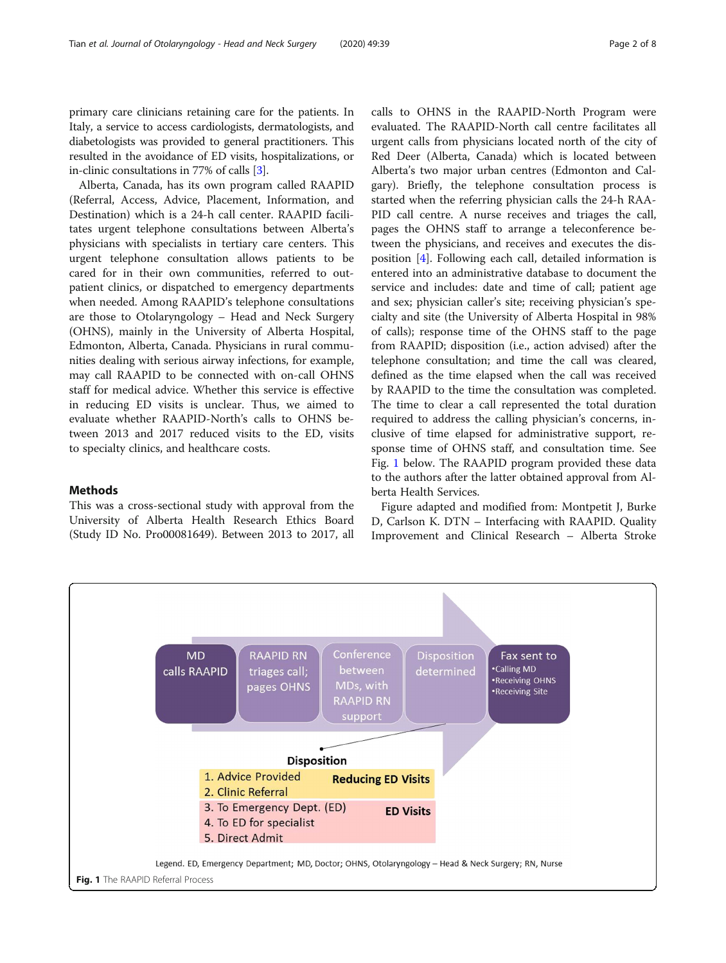primary care clinicians retaining care for the patients. In Italy, a service to access cardiologists, dermatologists, and diabetologists was provided to general practitioners. This resulted in the avoidance of ED visits, hospitalizations, or in-clinic consultations in 77% of calls [[3](#page-7-0)].

Alberta, Canada, has its own program called RAAPID (Referral, Access, Advice, Placement, Information, and Destination) which is a 24-h call center. RAAPID facilitates urgent telephone consultations between Alberta's physicians with specialists in tertiary care centers. This urgent telephone consultation allows patients to be cared for in their own communities, referred to outpatient clinics, or dispatched to emergency departments when needed. Among RAAPID's telephone consultations are those to Otolaryngology – Head and Neck Surgery (OHNS), mainly in the University of Alberta Hospital, Edmonton, Alberta, Canada. Physicians in rural communities dealing with serious airway infections, for example, may call RAAPID to be connected with on-call OHNS staff for medical advice. Whether this service is effective in reducing ED visits is unclear. Thus, we aimed to evaluate whether RAAPID-North's calls to OHNS between 2013 and 2017 reduced visits to the ED, visits to specialty clinics, and healthcare costs.

#### Methods

This was a cross-sectional study with approval from the University of Alberta Health Research Ethics Board (Study ID No. Pro00081649). Between 2013 to 2017, all calls to OHNS in the RAAPID-North Program were evaluated. The RAAPID-North call centre facilitates all urgent calls from physicians located north of the city of Red Deer (Alberta, Canada) which is located between Alberta's two major urban centres (Edmonton and Calgary). Briefly, the telephone consultation process is started when the referring physician calls the 24-h RAA-PID call centre. A nurse receives and triages the call, pages the OHNS staff to arrange a teleconference between the physicians, and receives and executes the disposition [[4](#page-7-0)]. Following each call, detailed information is entered into an administrative database to document the service and includes: date and time of call; patient age and sex; physician caller's site; receiving physician's specialty and site (the University of Alberta Hospital in 98% of calls); response time of the OHNS staff to the page from RAAPID; disposition (i.e., action advised) after the telephone consultation; and time the call was cleared, defined as the time elapsed when the call was received by RAAPID to the time the consultation was completed. The time to clear a call represented the total duration required to address the calling physician's concerns, inclusive of time elapsed for administrative support, response time of OHNS staff, and consultation time. See Fig. 1 below. The RAAPID program provided these data to the authors after the latter obtained approval from Alberta Health Services.

Figure adapted and modified from: Montpetit J, Burke D, Carlson K. DTN – Interfacing with RAAPID. Quality Improvement and Clinical Research – Alberta Stroke

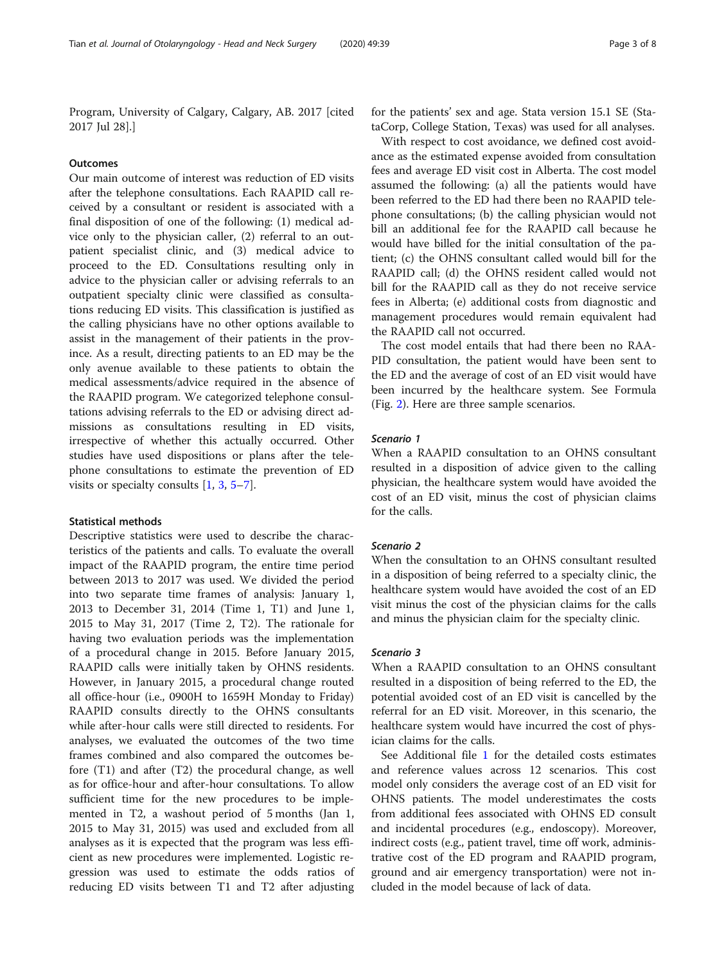Program, University of Calgary, Calgary, AB. 2017 [cited 2017 Jul 28].]

#### **Outcomes**

Our main outcome of interest was reduction of ED visits after the telephone consultations. Each RAAPID call received by a consultant or resident is associated with a final disposition of one of the following: (1) medical advice only to the physician caller, (2) referral to an outpatient specialist clinic, and (3) medical advice to proceed to the ED. Consultations resulting only in advice to the physician caller or advising referrals to an outpatient specialty clinic were classified as consultations reducing ED visits. This classification is justified as the calling physicians have no other options available to assist in the management of their patients in the province. As a result, directing patients to an ED may be the only avenue available to these patients to obtain the medical assessments/advice required in the absence of the RAAPID program. We categorized telephone consultations advising referrals to the ED or advising direct admissions as consultations resulting in ED visits, irrespective of whether this actually occurred. Other studies have used dispositions or plans after the telephone consultations to estimate the prevention of ED visits or specialty consults [\[1](#page-7-0), [3](#page-7-0), [5](#page-7-0)–[7\]](#page-7-0).

#### Statistical methods

Descriptive statistics were used to describe the characteristics of the patients and calls. To evaluate the overall impact of the RAAPID program, the entire time period between 2013 to 2017 was used. We divided the period into two separate time frames of analysis: January 1, 2013 to December 31, 2014 (Time 1, T1) and June 1, 2015 to May 31, 2017 (Time 2, T2). The rationale for having two evaluation periods was the implementation of a procedural change in 2015. Before January 2015, RAAPID calls were initially taken by OHNS residents. However, in January 2015, a procedural change routed all office-hour (i.e., 0900H to 1659H Monday to Friday) RAAPID consults directly to the OHNS consultants while after-hour calls were still directed to residents. For analyses, we evaluated the outcomes of the two time frames combined and also compared the outcomes before (T1) and after (T2) the procedural change, as well as for office-hour and after-hour consultations. To allow sufficient time for the new procedures to be implemented in T2, a washout period of 5 months (Jan 1, 2015 to May 31, 2015) was used and excluded from all analyses as it is expected that the program was less efficient as new procedures were implemented. Logistic regression was used to estimate the odds ratios of reducing ED visits between T1 and T2 after adjusting for the patients' sex and age. Stata version 15.1 SE (StataCorp, College Station, Texas) was used for all analyses.

With respect to cost avoidance, we defined cost avoidance as the estimated expense avoided from consultation fees and average ED visit cost in Alberta. The cost model assumed the following: (a) all the patients would have been referred to the ED had there been no RAAPID telephone consultations; (b) the calling physician would not bill an additional fee for the RAAPID call because he would have billed for the initial consultation of the patient; (c) the OHNS consultant called would bill for the RAAPID call; (d) the OHNS resident called would not bill for the RAAPID call as they do not receive service fees in Alberta; (e) additional costs from diagnostic and management procedures would remain equivalent had the RAAPID call not occurred.

The cost model entails that had there been no RAA-PID consultation, the patient would have been sent to the ED and the average of cost of an ED visit would have been incurred by the healthcare system. See Formula (Fig. [2](#page-3-0)). Here are three sample scenarios.

#### Scenario 1

When a RAAPID consultation to an OHNS consultant resulted in a disposition of advice given to the calling physician, the healthcare system would have avoided the cost of an ED visit, minus the cost of physician claims for the calls.

#### Scenario 2

When the consultation to an OHNS consultant resulted in a disposition of being referred to a specialty clinic, the healthcare system would have avoided the cost of an ED visit minus the cost of the physician claims for the calls and minus the physician claim for the specialty clinic.

#### Scenario 3

When a RAAPID consultation to an OHNS consultant resulted in a disposition of being referred to the ED, the potential avoided cost of an ED visit is cancelled by the referral for an ED visit. Moreover, in this scenario, the healthcare system would have incurred the cost of physician claims for the calls.

See Additional file [1](#page-6-0) for the detailed costs estimates and reference values across 12 scenarios. This cost model only considers the average cost of an ED visit for OHNS patients. The model underestimates the costs from additional fees associated with OHNS ED consult and incidental procedures (e.g., endoscopy). Moreover, indirect costs (e.g., patient travel, time off work, administrative cost of the ED program and RAAPID program, ground and air emergency transportation) were not included in the model because of lack of data.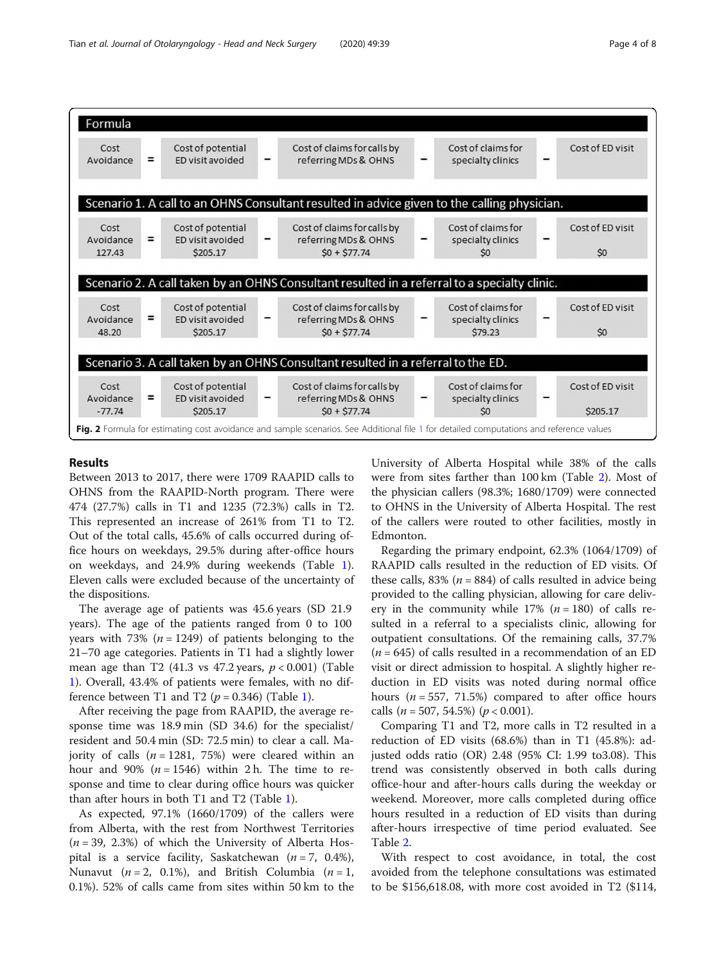<span id="page-3-0"></span>

#### Results

Between 2013 to 2017, there were 1709 RAAPID calls to OHNS from the RAAPID-North program. There were 474 (27.7%) calls in T1 and 1235 (72.3%) calls in T2. This represented an increase of 261% from T1 to T2. Out of the total calls, 45.6% of calls occurred during office hours on weekdays, 29.5% during after-office hours on weekdays, and 24.9% during weekends (Table [1](#page-4-0)). Eleven calls were excluded because of the uncertainty of the dispositions.

The average age of patients was 45.6 years (SD 21.9 years). The age of the patients ranged from 0 to 100 years with 73% ( $n = 1249$ ) of patients belonging to the 21–70 age categories. Patients in T1 had a slightly lower mean age than T2 (41.3 vs 47.2 years,  $p < 0.001$ ) (Table [1\)](#page-4-0). Overall, 43.4% of patients were females, with no dif-ference between T[1](#page-4-0) and T2 ( $p = 0.346$ ) (Table 1).

After receiving the page from RAAPID, the average response time was 18.9 min (SD 34.6) for the specialist/ resident and 50.4 min (SD: 72.5 min) to clear a call. Majority of calls  $(n = 1281, 75%)$  were cleared within an hour and 90% ( $n = 1546$ ) within 2 h. The time to response and time to clear during office hours was quicker than after hours in both T1 and T2 (Table [1\)](#page-4-0).

As expected, 97.1% (1660/1709) of the callers were from Alberta, with the rest from Northwest Territories  $(n = 39, 2.3%)$  of which the University of Alberta Hospital is a service facility, Saskatchewan ( $n = 7$ , 0.4%), Nunavut ( $n = 2$ , 0.1%), and British Columbia ( $n = 1$ , 0.1%). 52% of calls came from sites within 50 km to the University of Alberta Hospital while 38% of the calls were from sites farther than 100 km (Table [2](#page-5-0)). Most of the physician callers (98.3%; 1680/1709) were connected to OHNS in the University of Alberta Hospital. The rest of the callers were routed to other facilities, mostly in Edmonton.

Regarding the primary endpoint, 62.3% (1064/1709) of RAAPID calls resulted in the reduction of ED visits. Of these calls, 83% ( $n = 884$ ) of calls resulted in advice being provided to the calling physician, allowing for care delivery in the community while 17% ( $n = 180$ ) of calls resulted in a referral to a specialists clinic, allowing for outpatient consultations. Of the remaining calls, 37.7%  $(n = 645)$  of calls resulted in a recommendation of an ED visit or direct admission to hospital. A slightly higher reduction in ED visits was noted during normal office hours ( $n = 557, 71.5\%$ ) compared to after office hours calls ( $n = 507, 54.5\%$ ) ( $p < 0.001$ ).

Comparing T1 and T2, more calls in T2 resulted in a reduction of ED visits (68.6%) than in T1 (45.8%): adjusted odds ratio (OR) 2.48 (95% CI: 1.99 to3.08). This trend was consistently observed in both calls during office-hour and after-hours calls during the weekday or weekend. Moreover, more calls completed during office hours resulted in a reduction of ED visits than during after-hours irrespective of time period evaluated. See Table [2.](#page-5-0)

With respect to cost avoidance, in total, the cost avoided from the telephone consultations was estimated to be \$156,618.08, with more cost avoided in T2 (\$114,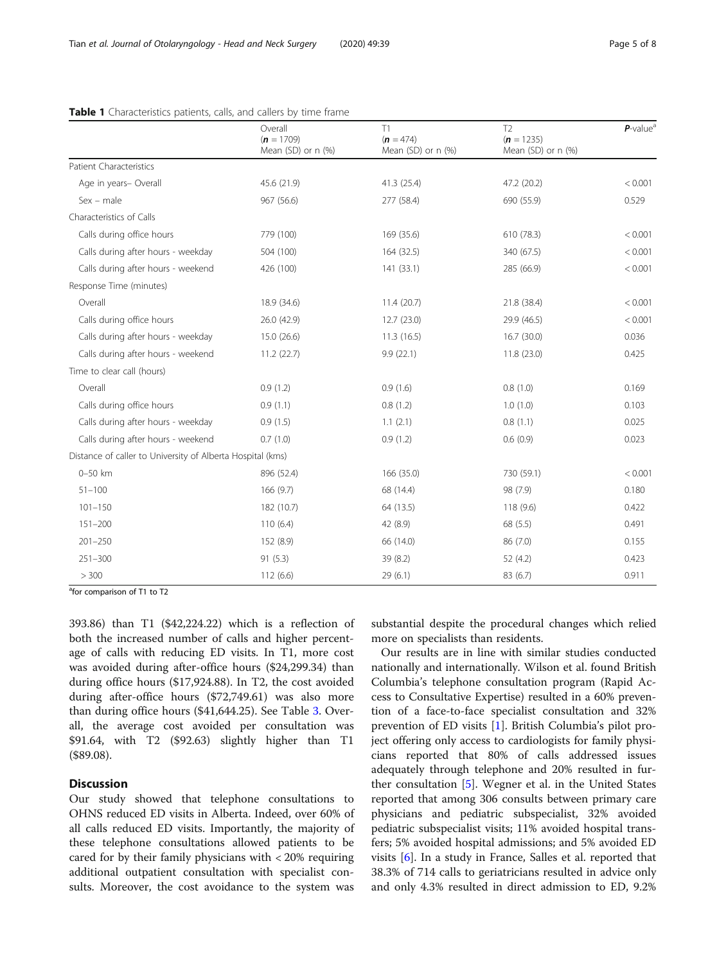|                                                            | Overall<br>$(n = 1709)$<br>Mean (SD) or n (%) | T1<br>$(n = 474)$<br>Mean (SD) or n (%) | T <sub>2</sub><br>$(n = 1235)$<br>Mean (SD) or n (%) | $P$ -value <sup>a</sup> |
|------------------------------------------------------------|-----------------------------------------------|-----------------------------------------|------------------------------------------------------|-------------------------|
| <b>Patient Characteristics</b>                             |                                               |                                         |                                                      |                         |
| Age in years- Overall                                      | 45.6 (21.9)                                   | 41.3 (25.4)                             | 47.2 (20.2)                                          | < 0.001                 |
| $Sex$ – male                                               | 967 (56.6)                                    | 277 (58.4)                              | 690 (55.9)                                           | 0.529                   |
| Characteristics of Calls                                   |                                               |                                         |                                                      |                         |
| Calls during office hours                                  | 779 (100)                                     | 169 (35.6)                              | 610 (78.3)                                           | < 0.001                 |
| Calls during after hours - weekday                         | 504 (100)                                     | 164 (32.5)                              | 340 (67.5)                                           | < 0.001                 |
| Calls during after hours - weekend                         | 426 (100)                                     | 141(33.1)                               | 285 (66.9)                                           | < 0.001                 |
| Response Time (minutes)                                    |                                               |                                         |                                                      |                         |
| Overall                                                    | 18.9 (34.6)                                   | 11.4(20.7)                              | 21.8 (38.4)                                          | < 0.001                 |
| Calls during office hours                                  | 26.0 (42.9)                                   | 12.7 (23.0)                             | 29.9 (46.5)                                          | < 0.001                 |
| Calls during after hours - weekday                         | 15.0 (26.6)                                   | 11.3(16.5)                              | 16.7(30.0)                                           | 0.036                   |
| Calls during after hours - weekend                         | 11.2(22.7)                                    | 9.9(22.1)                               | 11.8(23.0)                                           | 0.425                   |
| Time to clear call (hours)                                 |                                               |                                         |                                                      |                         |
| Overall                                                    | 0.9(1.2)                                      | 0.9(1.6)                                | 0.8(1.0)                                             | 0.169                   |
| Calls during office hours                                  | 0.9(1.1)                                      | 0.8(1.2)                                | 1.0(1.0)                                             | 0.103                   |
| Calls during after hours - weekday                         | 0.9(1.5)                                      | 1.1(2.1)                                | 0.8(1.1)                                             | 0.025                   |
| Calls during after hours - weekend                         | 0.7(1.0)                                      | 0.9(1.2)                                | 0.6(0.9)                                             | 0.023                   |
| Distance of caller to University of Alberta Hospital (kms) |                                               |                                         |                                                      |                         |
| 0-50 km                                                    | 896 (52.4)                                    | 166 (35.0)                              | 730 (59.1)                                           | < 0.001                 |
| $51 - 100$                                                 | 166 (9.7)                                     | 68 (14.4)                               | 98 (7.9)                                             | 0.180                   |
| $101 - 150$                                                | 182 (10.7)                                    | 64 (13.5)                               | 118 (9.6)                                            | 0.422                   |
| $151 - 200$                                                | 110(6.4)                                      | 42 (8.9)                                | 68 (5.5)                                             | 0.491                   |
| $201 - 250$                                                | 152 (8.9)                                     | 66 (14.0)                               | 86 (7.0)                                             | 0.155                   |
| $251 - 300$                                                | 91(5.3)                                       | 39 (8.2)                                | 52 (4.2)                                             | 0.423                   |
| > 300                                                      | 112(6.6)                                      | 29(6.1)                                 | 83 (6.7)                                             | 0.911                   |

#### <span id="page-4-0"></span>Table 1 Characteristics patients, calls, and callers by time frame

<sup>a</sup>for comparison of T1 to T2

393.86) than T1 (\$42,224.22) which is a reflection of both the increased number of calls and higher percentage of calls with reducing ED visits. In T1, more cost was avoided during after-office hours (\$24,299.34) than during office hours (\$17,924.88). In T2, the cost avoided during after-office hours (\$72,749.61) was also more than during office hours (\$41,644.25). See Table [3.](#page-6-0) Overall, the average cost avoided per consultation was \$91.64, with T2 (\$92.63) slightly higher than T1 (\$89.08).

## **Discussion**

Our study showed that telephone consultations to OHNS reduced ED visits in Alberta. Indeed, over 60% of all calls reduced ED visits. Importantly, the majority of these telephone consultations allowed patients to be cared for by their family physicians with < 20% requiring additional outpatient consultation with specialist consults. Moreover, the cost avoidance to the system was substantial despite the procedural changes which relied more on specialists than residents.

Our results are in line with similar studies conducted nationally and internationally. Wilson et al. found British Columbia's telephone consultation program (Rapid Access to Consultative Expertise) resulted in a 60% prevention of a face-to-face specialist consultation and 32% prevention of ED visits [\[1](#page-7-0)]. British Columbia's pilot project offering only access to cardiologists for family physicians reported that 80% of calls addressed issues adequately through telephone and 20% resulted in further consultation [[5\]](#page-7-0). Wegner et al. in the United States reported that among 306 consults between primary care physicians and pediatric subspecialist, 32% avoided pediatric subspecialist visits; 11% avoided hospital transfers; 5% avoided hospital admissions; and 5% avoided ED visits [[6\]](#page-7-0). In a study in France, Salles et al. reported that 38.3% of 714 calls to geriatricians resulted in advice only and only 4.3% resulted in direct admission to ED, 9.2%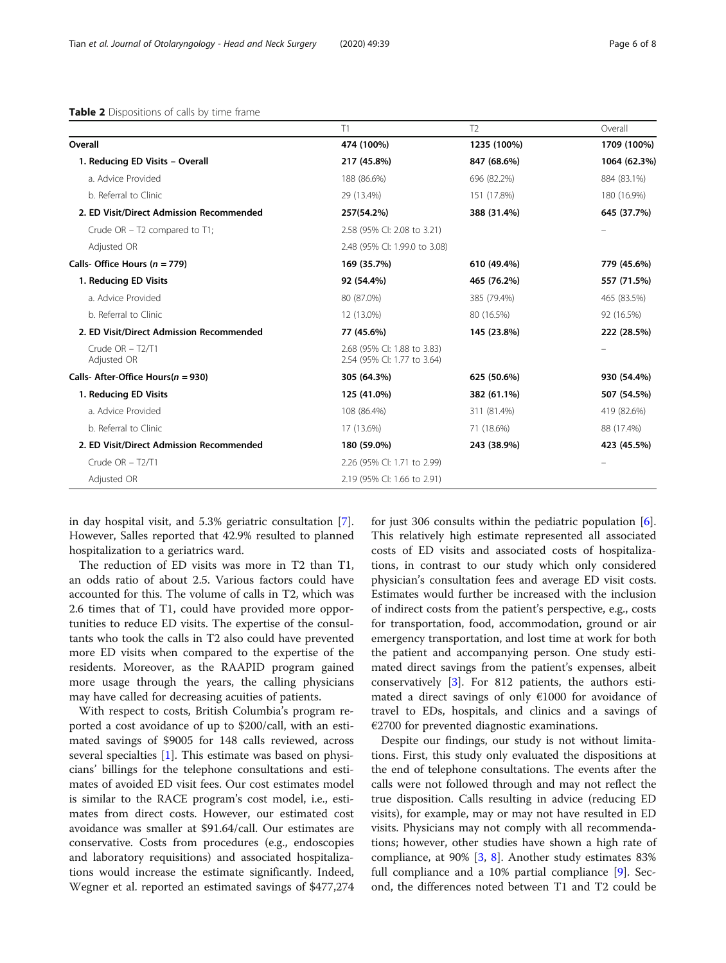|                                          | T1                                                         | T <sub>2</sub> | Overall      |
|------------------------------------------|------------------------------------------------------------|----------------|--------------|
| Overall                                  | 474 (100%)                                                 | 1235 (100%)    | 1709 (100%)  |
| 1. Reducing ED Visits - Overall          | 217 (45.8%)                                                | 847 (68.6%)    | 1064 (62.3%) |
| a. Advice Provided                       | 188 (86.6%)                                                | 696 (82.2%)    | 884 (83.1%)  |
| b. Referral to Clinic                    | 29 (13.4%)                                                 | 151 (17.8%)    | 180 (16.9%)  |
| 2. ED Visit/Direct Admission Recommended | 257(54.2%)                                                 | 388 (31.4%)    | 645 (37.7%)  |
| Crude $OR - T2$ compared to $T1$ ;       | 2.58 (95% CI: 2.08 to 3.21)                                |                |              |
| Adjusted OR                              | 2.48 (95% CI: 1.99.0 to 3.08)                              |                |              |
| Calls- Office Hours ( $n = 779$ )        | 169 (35.7%)                                                | 610 (49.4%)    | 779 (45.6%)  |
| 1. Reducing ED Visits                    | 92 (54.4%)                                                 | 465 (76.2%)    | 557 (71.5%)  |
| a. Advice Provided                       | 80 (87.0%)                                                 | 385 (79.4%)    | 465 (83.5%)  |
| b. Referral to Clinic                    | 12 (13.0%)                                                 | 80 (16.5%)     | 92 (16.5%)   |
| 2. ED Visit/Direct Admission Recommended | 77 (45.6%)                                                 | 145 (23.8%)    | 222 (28.5%)  |
| Crude $OR - T2/T1$<br>Adjusted OR        | 2.68 (95% Cl: 1.88 to 3.83)<br>2.54 (95% CI: 1.77 to 3.64) |                |              |
| Calls- After-Office Hours( $n = 930$ )   | 305 (64.3%)                                                | 625 (50.6%)    | 930 (54.4%)  |
| 1. Reducing ED Visits                    | 125 (41.0%)                                                | 382 (61.1%)    | 507 (54.5%)  |
| a. Advice Provided                       | 108 (86.4%)                                                | 311 (81.4%)    | 419 (82.6%)  |
| b. Referral to Clinic                    | 17 (13.6%)                                                 | 71 (18.6%)     | 88 (17.4%)   |
| 2. ED Visit/Direct Admission Recommended | 180 (59.0%)                                                | 243 (38.9%)    | 423 (45.5%)  |
| Crude $OR - T2/T1$                       | 2.26 (95% CI: 1.71 to 2.99)                                |                |              |
| Adjusted OR                              | 2.19 (95% Cl: 1.66 to 2.91)                                |                |              |

<span id="page-5-0"></span>

| Table 2 Dispositions of calls by time frame |  |  |
|---------------------------------------------|--|--|
|---------------------------------------------|--|--|

in day hospital visit, and 5.3% geriatric consultation [\[7](#page-7-0)]. However, Salles reported that 42.9% resulted to planned hospitalization to a geriatrics ward.

The reduction of ED visits was more in T2 than T1, an odds ratio of about 2.5. Various factors could have accounted for this. The volume of calls in T2, which was 2.6 times that of T1, could have provided more opportunities to reduce ED visits. The expertise of the consultants who took the calls in T2 also could have prevented more ED visits when compared to the expertise of the residents. Moreover, as the RAAPID program gained more usage through the years, the calling physicians may have called for decreasing acuities of patients.

With respect to costs, British Columbia's program reported a cost avoidance of up to \$200/call, with an estimated savings of \$9005 for 148 calls reviewed, across several specialties [\[1](#page-7-0)]. This estimate was based on physicians' billings for the telephone consultations and estimates of avoided ED visit fees. Our cost estimates model is similar to the RACE program's cost model, i.e., estimates from direct costs. However, our estimated cost avoidance was smaller at \$91.64/call. Our estimates are conservative. Costs from procedures (e.g., endoscopies and laboratory requisitions) and associated hospitalizations would increase the estimate significantly. Indeed, Wegner et al. reported an estimated savings of \$477,274 for just 306 consults within the pediatric population [\[6](#page-7-0)]. This relatively high estimate represented all associated costs of ED visits and associated costs of hospitalizations, in contrast to our study which only considered physician's consultation fees and average ED visit costs. Estimates would further be increased with the inclusion of indirect costs from the patient's perspective, e.g., costs for transportation, food, accommodation, ground or air emergency transportation, and lost time at work for both the patient and accompanying person. One study estimated direct savings from the patient's expenses, albeit conservatively [[3\]](#page-7-0). For 812 patients, the authors estimated a direct savings of only €1000 for avoidance of travel to EDs, hospitals, and clinics and a savings of €2700 for prevented diagnostic examinations.

Despite our findings, our study is not without limitations. First, this study only evaluated the dispositions at the end of telephone consultations. The events after the calls were not followed through and may not reflect the true disposition. Calls resulting in advice (reducing ED visits), for example, may or may not have resulted in ED visits. Physicians may not comply with all recommendations; however, other studies have shown a high rate of compliance, at 90% [\[3](#page-7-0), [8\]](#page-7-0). Another study estimates 83% full compliance and a 10% partial compliance [[9\]](#page-7-0). Second, the differences noted between T1 and T2 could be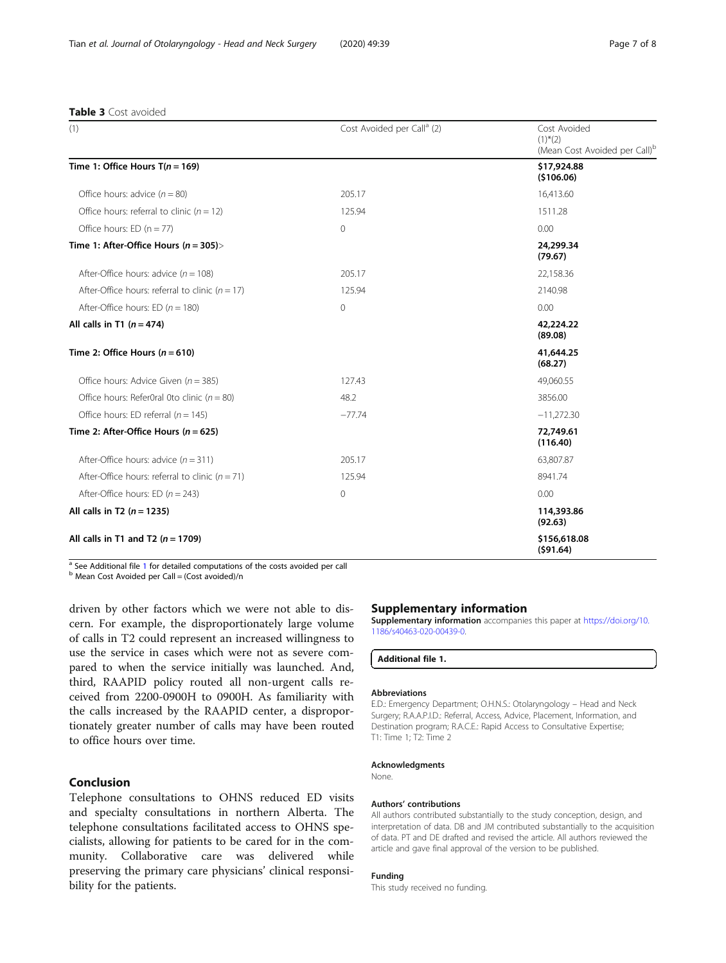<span id="page-6-0"></span>

| <b>Table 3</b> Cost avoided |  |
|-----------------------------|--|
|-----------------------------|--|

| (1)                                                 | Cost Avoided per Call <sup>a</sup> (2) | Cost Avoided<br>$(1)$ <sup>*</sup> $(2)$<br>(Mean Cost Avoided per Call) <sup>b</sup> |
|-----------------------------------------------------|----------------------------------------|---------------------------------------------------------------------------------------|
| Time 1: Office Hours $T(n = 169)$                   |                                        | \$17,924.88<br>(\$106.06)                                                             |
| Office hours: advice $(n = 80)$                     | 205.17                                 | 16,413.60                                                                             |
| Office hours: referral to clinic ( $n = 12$ )       | 125.94                                 | 1511.28                                                                               |
| Office hours: ED $(n = 77)$                         | $\mathbf{0}$                           | 0.00                                                                                  |
| Time 1: After-Office Hours ( $n = 305$ )>           |                                        | 24,299.34<br>(79.67)                                                                  |
| After-Office hours: advice $(n = 108)$              | 205.17                                 | 22,158.36                                                                             |
| After-Office hours: referral to clinic ( $n = 17$ ) | 125.94                                 | 2140.98                                                                               |
| After-Office hours: ED ( $n = 180$ )                | $\Omega$                               | 0.00                                                                                  |
| All calls in T1 $(n = 474)$                         |                                        | 42,224.22<br>(89.08)                                                                  |
| Time 2: Office Hours ( $n = 610$ )                  |                                        | 41,644,25<br>(68.27)                                                                  |
| Office hours: Advice Given ( $n = 385$ )            | 127.43                                 | 49,060.55                                                                             |
| Office hours: Refer0ral 0to clinic ( $n = 80$ )     | 48.2                                   | 3856.00                                                                               |
| Office hours: ED referral ( $n = 145$ )             | $-77.74$                               | $-11,272.30$                                                                          |
| Time 2: After-Office Hours ( $n = 625$ )            |                                        | 72,749.61<br>(116.40)                                                                 |
| After-Office hours: advice $(n = 311)$              | 205.17                                 | 63,807.87                                                                             |
| After-Office hours: referral to clinic ( $n = 71$ ) | 125.94                                 | 8941.74                                                                               |
| After-Office hours: ED ( $n = 243$ )                | 0                                      | 0.00                                                                                  |
| All calls in T2 $(n = 1235)$                        |                                        | 114,393.86<br>(92.63)                                                                 |
| All calls in T1 and T2 $(n = 1709)$                 |                                        | \$156,618.08<br>(591.64)                                                              |

 $\frac{a}{b}$  See Additional file 1 for detailed computations of the costs avoided per call b Mean Cost Avoided per Call = (Cost avoided)/n

driven by other factors which we were not able to discern. For example, the disproportionately large volume of calls in T2 could represent an increased willingness to use the service in cases which were not as severe compared to when the service initially was launched. And, third, RAAPID policy routed all non-urgent calls received from 2200-0900H to 0900H. As familiarity with the calls increased by the RAAPID center, a disproportionately greater number of calls may have been routed to office hours over time.

# Conclusion

Telephone consultations to OHNS reduced ED visits and specialty consultations in northern Alberta. The telephone consultations facilitated access to OHNS specialists, allowing for patients to be cared for in the community. Collaborative care was delivered while preserving the primary care physicians' clinical responsibility for the patients.

#### Supplementary information

Supplementary information accompanies this paper at [https://doi.org/10.](https://doi.org/10.1186/s40463-020-00439-0) [1186/s40463-020-00439-0](https://doi.org/10.1186/s40463-020-00439-0).

```
Additional file 1.
```
#### Abbreviations

E.D.: Emergency Department; O.H.N.S.: Otolaryngology – Head and Neck Surgery; R.A.A.P.I.D.: Referral, Access, Advice, Placement, Information, and Destination program; R.A.C.E.: Rapid Access to Consultative Expertise; T1: Time 1; T2: Time 2

#### Acknowledgments

None.

#### Authors' contributions

All authors contributed substantially to the study conception, design, and interpretation of data. DB and JM contributed substantially to the acquisition of data. PT and DE drafted and revised the article. All authors reviewed the article and gave final approval of the version to be published.

### Funding

This study received no funding.